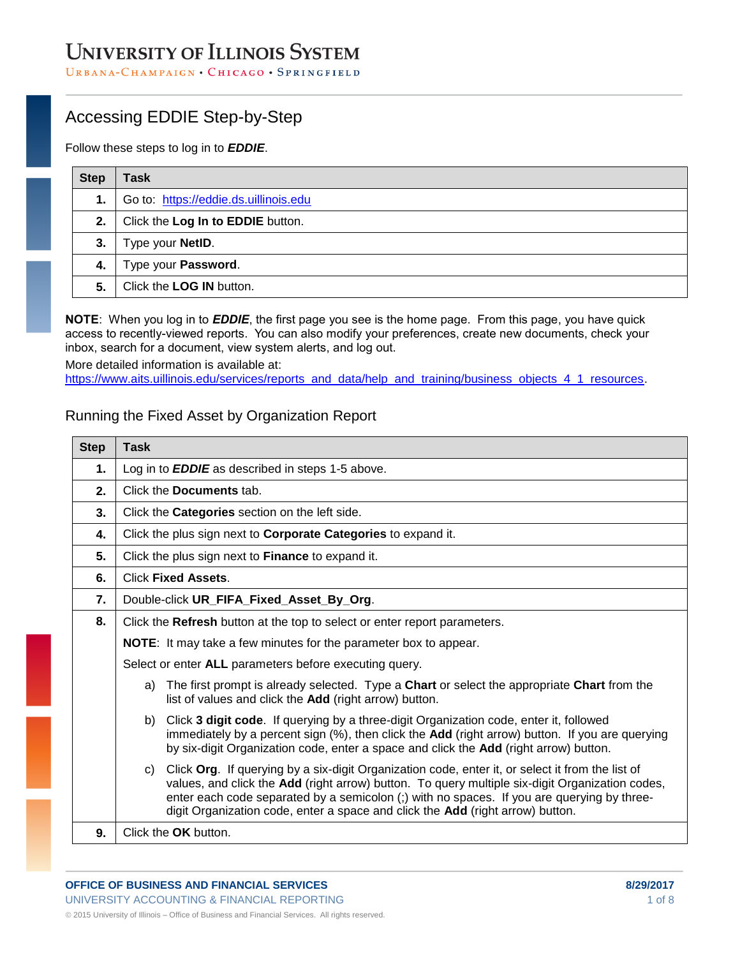## **UNIVERSITY OF ILLINOIS SYSTEM**

URBANA-CHAMPAIGN • CHICAGO • SPRINGFIELD

## Accessing EDDIE Step-by-Step

Follow these steps to log in to *EDDIE*.

| <b>Step</b> | Task                                  |
|-------------|---------------------------------------|
| 1.          | Go to: https://eddie.ds.uillinois.edu |
| 2.          | Click the Log In to EDDIE button.     |
| 3.          | Type your NetID.                      |
| 4.          | Type your Password.                   |
| 5.          | Click the LOG IN button.              |

**NOTE**: When you log in to *EDDIE*, the first page you see is the home page. From this page, you have quick access to recently-viewed reports. You can also modify your preferences, create new documents, check your inbox, search for a document, view system alerts, and log out.

More detailed information is available at: [https://www.aits.uillinois.edu/services/reports\\_and\\_data/help\\_and\\_training/business\\_objects\\_4\\_1\\_resources.](https://www.aits.uillinois.edu/services/reports_and_data/help_and_training/training/)

#### Running the Fixed Asset by Organization Report

| <b>Step</b> | Task                                                                                                                                                                                                                                                                                                                                                                                      |  |
|-------------|-------------------------------------------------------------------------------------------------------------------------------------------------------------------------------------------------------------------------------------------------------------------------------------------------------------------------------------------------------------------------------------------|--|
| 1.          | Log in to <b>EDDIE</b> as described in steps 1-5 above.                                                                                                                                                                                                                                                                                                                                   |  |
| 2.          | Click the <b>Documents</b> tab.                                                                                                                                                                                                                                                                                                                                                           |  |
| 3.          | Click the Categories section on the left side.                                                                                                                                                                                                                                                                                                                                            |  |
| 4.          | Click the plus sign next to <b>Corporate Categories</b> to expand it.                                                                                                                                                                                                                                                                                                                     |  |
| 5.          | Click the plus sign next to <b>Finance</b> to expand it.                                                                                                                                                                                                                                                                                                                                  |  |
| 6.          | <b>Click Fixed Assets.</b>                                                                                                                                                                                                                                                                                                                                                                |  |
| 7.          | Double-click UR FIFA Fixed Asset By Org.                                                                                                                                                                                                                                                                                                                                                  |  |
| 8.          | Click the Refresh button at the top to select or enter report parameters.                                                                                                                                                                                                                                                                                                                 |  |
|             | <b>NOTE:</b> It may take a few minutes for the parameter box to appear.                                                                                                                                                                                                                                                                                                                   |  |
|             | Select or enter ALL parameters before executing query.                                                                                                                                                                                                                                                                                                                                    |  |
|             | The first prompt is already selected. Type a <b>Chart</b> or select the appropriate <b>Chart</b> from the<br>a)<br>list of values and click the Add (right arrow) button.                                                                                                                                                                                                                 |  |
|             | Click 3 digit code. If querying by a three-digit Organization code, enter it, followed<br>b)<br>immediately by a percent sign (%), then click the Add (right arrow) button. If you are querying<br>by six-digit Organization code, enter a space and click the Add (right arrow) button.                                                                                                  |  |
|             | Click Org. If querying by a six-digit Organization code, enter it, or select it from the list of<br>C)<br>values, and click the Add (right arrow) button. To query multiple six-digit Organization codes,<br>enter each code separated by a semicolon (;) with no spaces. If you are querying by three-<br>digit Organization code, enter a space and click the Add (right arrow) button. |  |
| 9.          | Click the OK button.                                                                                                                                                                                                                                                                                                                                                                      |  |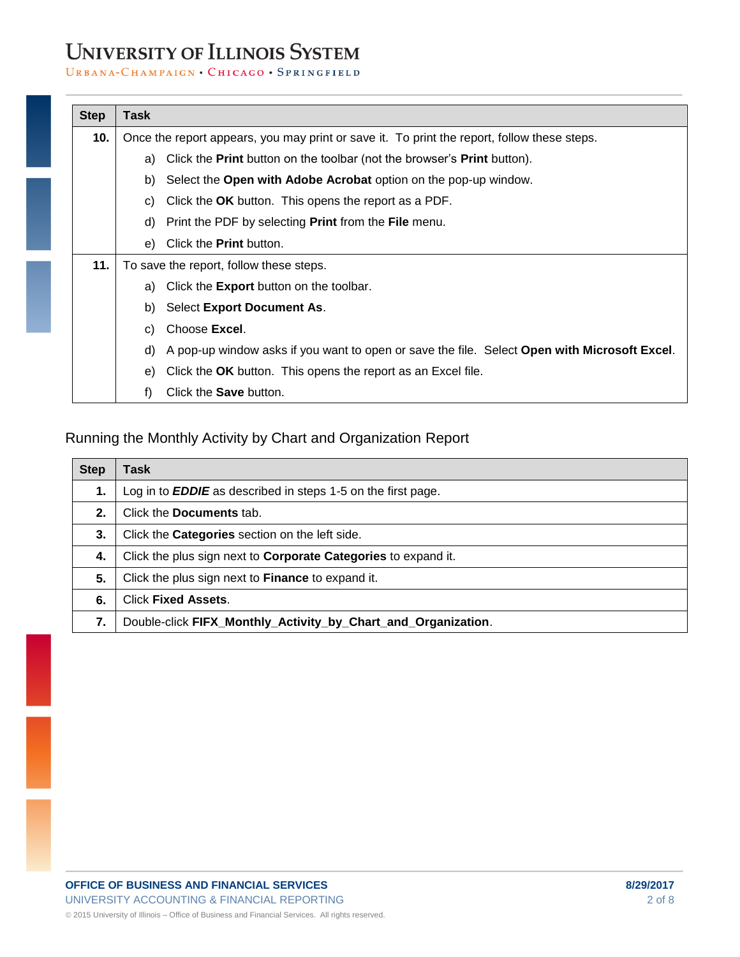# **UNIVERSITY OF ILLINOIS SYSTEM**

#### URBANA-CHAMPAIGN . CHICAGO . SPRINGFIELD

| <b>Step</b> | Task                                    |                                                                                                      |  |
|-------------|-----------------------------------------|------------------------------------------------------------------------------------------------------|--|
| 10.         |                                         | Once the report appears, you may print or save it. To print the report, follow these steps.          |  |
|             | a)                                      | Click the <b>Print</b> button on the toolbar (not the browser's <b>Print</b> button).                |  |
|             | b)                                      | Select the Open with Adobe Acrobat option on the pop-up window.                                      |  |
|             | C)                                      | Click the OK button. This opens the report as a PDF.                                                 |  |
|             | d)                                      | Print the PDF by selecting <b>Print</b> from the <b>File</b> menu.                                   |  |
|             | e)                                      | Click the <b>Print</b> button.                                                                       |  |
| 11.         | To save the report, follow these steps. |                                                                                                      |  |
|             | a)                                      | Click the <b>Export</b> button on the toolbar.                                                       |  |
|             | b)                                      | Select Export Document As.                                                                           |  |
|             | C)                                      | Choose Excel.                                                                                        |  |
|             | d)                                      | A pop-up window asks if you want to open or save the file. Select <b>Open with Microsoft Excel</b> . |  |
|             | e)                                      | Click the OK button. This opens the report as an Excel file.                                         |  |
|             | f)                                      | Click the Save button.                                                                               |  |

#### Running the Monthly Activity by Chart and Organization Report

| <b>Step</b> | Task                                                                  |
|-------------|-----------------------------------------------------------------------|
| 1.          | Log in to <b>EDDIE</b> as described in steps 1-5 on the first page.   |
| 2.          | Click the <b>Documents</b> tab.                                       |
| 3.          | Click the Categories section on the left side.                        |
| 4.          | Click the plus sign next to <b>Corporate Categories</b> to expand it. |
| 5.          | Click the plus sign next to <b>Finance</b> to expand it.              |
| 6.          | <b>Click Fixed Assets.</b>                                            |
| 7.          | Double-click FIFX_Monthly_Activity_by_Chart_and_Organization.         |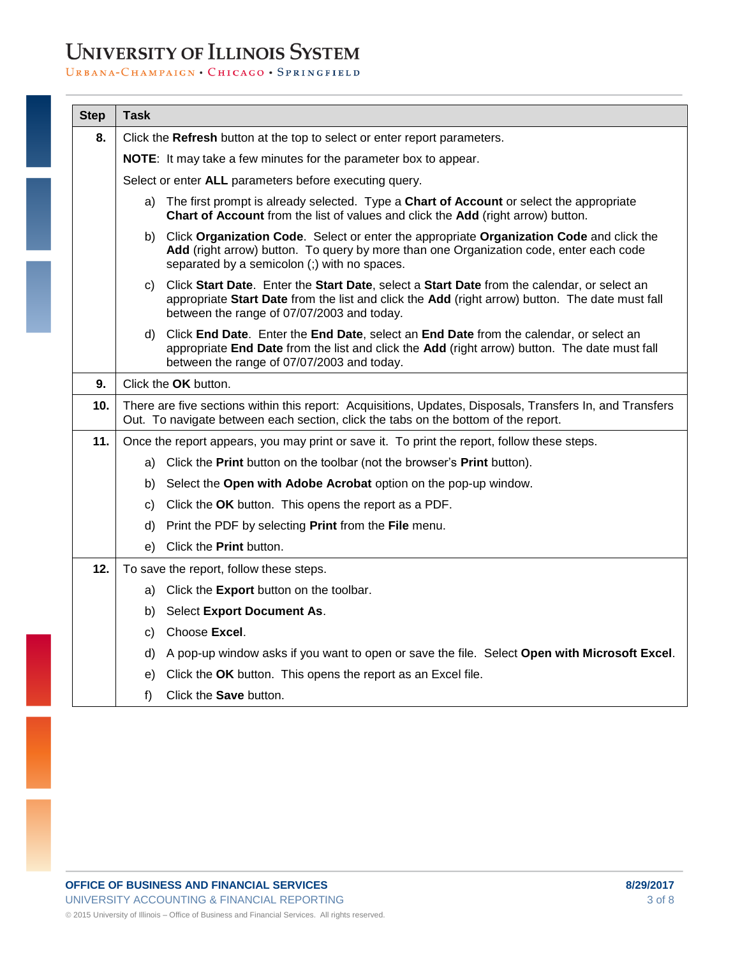# **UNIVERSITY OF ILLINOIS SYSTEM**

#### URBANA-CHAMPAIGN . CHICAGO . SPRINGFIELD

| <b>Step</b> | <b>Task</b>                                                                                                                                                                                     |                                                                                                                                                                                                                                                 |
|-------------|-------------------------------------------------------------------------------------------------------------------------------------------------------------------------------------------------|-------------------------------------------------------------------------------------------------------------------------------------------------------------------------------------------------------------------------------------------------|
| 8.          |                                                                                                                                                                                                 | Click the Refresh button at the top to select or enter report parameters.                                                                                                                                                                       |
|             | NOTE: It may take a few minutes for the parameter box to appear.                                                                                                                                |                                                                                                                                                                                                                                                 |
|             | Select or enter ALL parameters before executing query.                                                                                                                                          |                                                                                                                                                                                                                                                 |
|             |                                                                                                                                                                                                 | a) The first prompt is already selected. Type a Chart of Account or select the appropriate<br>Chart of Account from the list of values and click the Add (right arrow) button.                                                                  |
|             |                                                                                                                                                                                                 | b) Click Organization Code. Select or enter the appropriate Organization Code and click the<br>Add (right arrow) button. To query by more than one Organization code, enter each code<br>separated by a semicolon (;) with no spaces.           |
|             |                                                                                                                                                                                                 | c) Click Start Date. Enter the Start Date, select a Start Date from the calendar, or select an<br>appropriate Start Date from the list and click the Add (right arrow) button. The date must fall<br>between the range of 07/07/2003 and today. |
|             |                                                                                                                                                                                                 | d) Click End Date. Enter the End Date, select an End Date from the calendar, or select an<br>appropriate End Date from the list and click the Add (right arrow) button. The date must fall<br>between the range of 07/07/2003 and today.        |
| 9.          | Click the OK button.                                                                                                                                                                            |                                                                                                                                                                                                                                                 |
| 10.         | There are five sections within this report: Acquisitions, Updates, Disposals, Transfers In, and Transfers<br>Out. To navigate between each section, click the tabs on the bottom of the report. |                                                                                                                                                                                                                                                 |
| 11.         | Once the report appears, you may print or save it. To print the report, follow these steps.                                                                                                     |                                                                                                                                                                                                                                                 |
|             |                                                                                                                                                                                                 | a) Click the Print button on the toolbar (not the browser's Print button).                                                                                                                                                                      |
|             | b)                                                                                                                                                                                              | Select the Open with Adobe Acrobat option on the pop-up window.                                                                                                                                                                                 |
|             | C)                                                                                                                                                                                              | Click the OK button. This opens the report as a PDF.                                                                                                                                                                                            |
|             | d)                                                                                                                                                                                              | Print the PDF by selecting <b>Print</b> from the <b>File</b> menu.                                                                                                                                                                              |
|             | e)                                                                                                                                                                                              | Click the Print button.                                                                                                                                                                                                                         |
| 12.         |                                                                                                                                                                                                 | To save the report, follow these steps.                                                                                                                                                                                                         |
|             |                                                                                                                                                                                                 | a) Click the Export button on the toolbar.                                                                                                                                                                                                      |
|             | b)                                                                                                                                                                                              | Select Export Document As.                                                                                                                                                                                                                      |
|             | C)                                                                                                                                                                                              | Choose Excel.                                                                                                                                                                                                                                   |
|             | d)                                                                                                                                                                                              | A pop-up window asks if you want to open or save the file. Select Open with Microsoft Excel.                                                                                                                                                    |
|             | e).                                                                                                                                                                                             | Click the OK button. This opens the report as an Excel file.                                                                                                                                                                                    |
|             | $f$ )                                                                                                                                                                                           | Click the Save button.                                                                                                                                                                                                                          |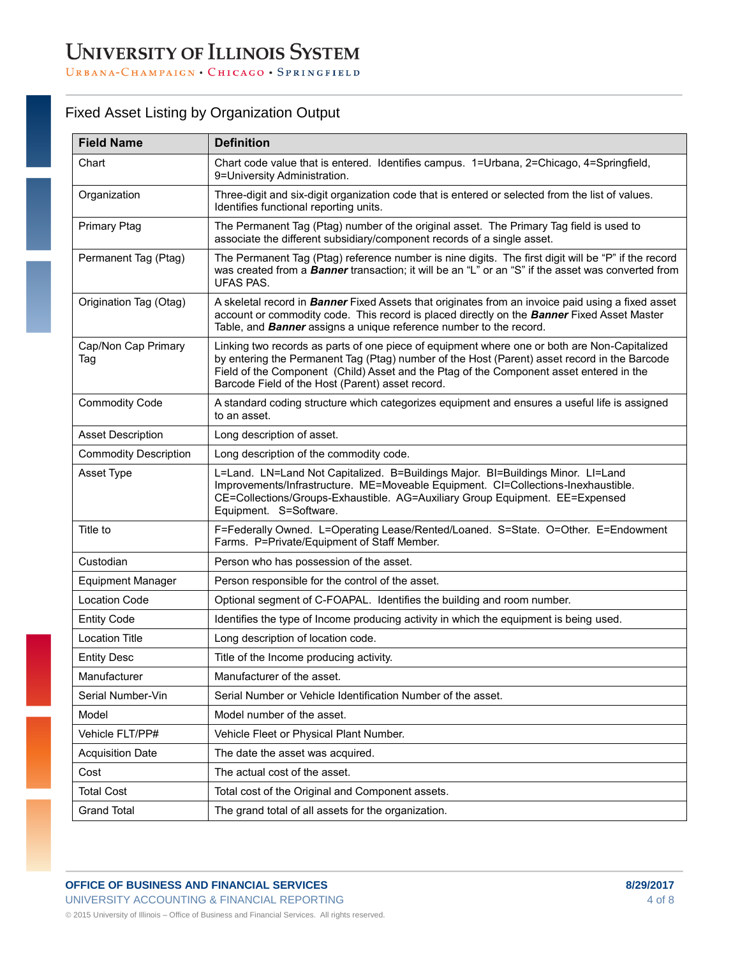| <b>Field Name</b>            | <b>Definition</b>                                                                                                                                                                                                                                                                                                                           |
|------------------------------|---------------------------------------------------------------------------------------------------------------------------------------------------------------------------------------------------------------------------------------------------------------------------------------------------------------------------------------------|
| Chart                        | Chart code value that is entered. Identifies campus. 1=Urbana, 2=Chicago, 4=Springfield,<br>9=University Administration.                                                                                                                                                                                                                    |
| Organization                 | Three-digit and six-digit organization code that is entered or selected from the list of values.<br>Identifies functional reporting units.                                                                                                                                                                                                  |
| <b>Primary Ptag</b>          | The Permanent Tag (Ptag) number of the original asset. The Primary Tag field is used to<br>associate the different subsidiary/component records of a single asset.                                                                                                                                                                          |
| Permanent Tag (Ptag)         | The Permanent Tag (Ptag) reference number is nine digits. The first digit will be "P" if the record<br>was created from a <b>Banner</b> transaction; it will be an "L" or an "S" if the asset was converted from<br><b>UFAS PAS.</b>                                                                                                        |
| Origination Tag (Otag)       | A skeletal record in Banner Fixed Assets that originates from an invoice paid using a fixed asset<br>account or commodity code. This record is placed directly on the <b>Banner</b> Fixed Asset Master<br>Table, and <b>Banner</b> assigns a unique reference number to the record.                                                         |
| Cap/Non Cap Primary<br>Tag   | Linking two records as parts of one piece of equipment where one or both are Non-Capitalized<br>by entering the Permanent Tag (Ptag) number of the Host (Parent) asset record in the Barcode<br>Field of the Component (Child) Asset and the Ptag of the Component asset entered in the<br>Barcode Field of the Host (Parent) asset record. |
| <b>Commodity Code</b>        | A standard coding structure which categorizes equipment and ensures a useful life is assigned<br>to an asset.                                                                                                                                                                                                                               |
| <b>Asset Description</b>     | Long description of asset.                                                                                                                                                                                                                                                                                                                  |
| <b>Commodity Description</b> | Long description of the commodity code.                                                                                                                                                                                                                                                                                                     |
| Asset Type                   | L=Land. LN=Land Not Capitalized. B=Buildings Major. BI=Buildings Minor. LI=Land<br>Improvements/Infrastructure. ME=Moveable Equipment. CI=Collections-Inexhaustible.<br>CE=Collections/Groups-Exhaustible. AG=Auxiliary Group Equipment. EE=Expensed<br>Equipment. S=Software.                                                              |
| Title to                     | F=Federally Owned. L=Operating Lease/Rented/Loaned. S=State. O=Other. E=Endowment<br>Farms. P=Private/Equipment of Staff Member.                                                                                                                                                                                                            |
| Custodian                    | Person who has possession of the asset.                                                                                                                                                                                                                                                                                                     |
| <b>Equipment Manager</b>     | Person responsible for the control of the asset.                                                                                                                                                                                                                                                                                            |
| <b>Location Code</b>         | Optional segment of C-FOAPAL. Identifies the building and room number.                                                                                                                                                                                                                                                                      |
| <b>Entity Code</b>           | Identifies the type of Income producing activity in which the equipment is being used.                                                                                                                                                                                                                                                      |
| <b>Location Title</b>        | Long description of location code.                                                                                                                                                                                                                                                                                                          |
| <b>Entity Desc</b>           | Title of the Income producing activity.                                                                                                                                                                                                                                                                                                     |
| Manufacturer                 | Manufacturer of the asset.                                                                                                                                                                                                                                                                                                                  |
| Serial Number-Vin            | Serial Number or Vehicle Identification Number of the asset.                                                                                                                                                                                                                                                                                |
| Model                        | Model number of the asset.                                                                                                                                                                                                                                                                                                                  |
| Vehicle FLT/PP#              | Vehicle Fleet or Physical Plant Number.                                                                                                                                                                                                                                                                                                     |
| <b>Acquisition Date</b>      | The date the asset was acquired.                                                                                                                                                                                                                                                                                                            |
| Cost                         | The actual cost of the asset.                                                                                                                                                                                                                                                                                                               |
| <b>Total Cost</b>            | Total cost of the Original and Component assets.                                                                                                                                                                                                                                                                                            |
| <b>Grand Total</b>           | The grand total of all assets for the organization.                                                                                                                                                                                                                                                                                         |

## Fixed Asset Listing by Organization Output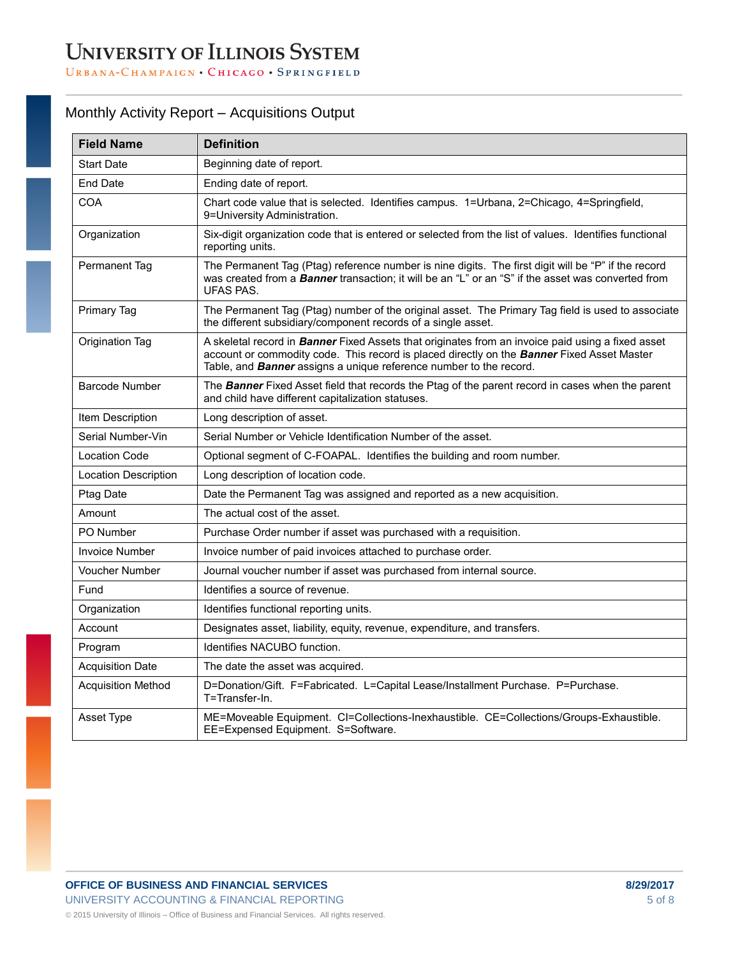## Monthly Activity Report – Acquisitions Output

| <b>Field Name</b>         | <b>Definition</b>                                                                                                                                                                                                                                                                   |
|---------------------------|-------------------------------------------------------------------------------------------------------------------------------------------------------------------------------------------------------------------------------------------------------------------------------------|
| <b>Start Date</b>         | Beginning date of report.                                                                                                                                                                                                                                                           |
| <b>End Date</b>           | Ending date of report.                                                                                                                                                                                                                                                              |
| <b>COA</b>                | Chart code value that is selected. Identifies campus. 1=Urbana, 2=Chicago, 4=Springfield,<br>9=University Administration.                                                                                                                                                           |
| Organization              | Six-digit organization code that is entered or selected from the list of values. Identifies functional<br>reporting units.                                                                                                                                                          |
| Permanent Tag             | The Permanent Tag (Ptag) reference number is nine digits. The first digit will be "P" if the record<br>was created from a <b>Banner</b> transaction; it will be an "L" or an "S" if the asset was converted from<br><b>UFAS PAS.</b>                                                |
| <b>Primary Tag</b>        | The Permanent Tag (Ptag) number of the original asset. The Primary Tag field is used to associate<br>the different subsidiary/component records of a single asset.                                                                                                                  |
| Origination Tag           | A skeletal record in <b>Banner</b> Fixed Assets that originates from an invoice paid using a fixed asset<br>account or commodity code. This record is placed directly on the Banner Fixed Asset Master<br>Table, and <b>Banner</b> assigns a unique reference number to the record. |
| <b>Barcode Number</b>     | The Banner Fixed Asset field that records the Ptag of the parent record in cases when the parent<br>and child have different capitalization statuses.                                                                                                                               |
| Item Description          | Long description of asset.                                                                                                                                                                                                                                                          |
| Serial Number-Vin         | Serial Number or Vehicle Identification Number of the asset.                                                                                                                                                                                                                        |
| <b>Location Code</b>      | Optional segment of C-FOAPAL. Identifies the building and room number.                                                                                                                                                                                                              |
| Location Description      | Long description of location code.                                                                                                                                                                                                                                                  |
| Ptag Date                 | Date the Permanent Tag was assigned and reported as a new acquisition.                                                                                                                                                                                                              |
| Amount                    | The actual cost of the asset.                                                                                                                                                                                                                                                       |
| PO Number                 | Purchase Order number if asset was purchased with a requisition.                                                                                                                                                                                                                    |
| Invoice Number            | Invoice number of paid invoices attached to purchase order.                                                                                                                                                                                                                         |
| <b>Voucher Number</b>     | Journal voucher number if asset was purchased from internal source.                                                                                                                                                                                                                 |
| Fund                      | Identifies a source of revenue.                                                                                                                                                                                                                                                     |
| Organization              | Identifies functional reporting units.                                                                                                                                                                                                                                              |
| Account                   | Designates asset, liability, equity, revenue, expenditure, and transfers.                                                                                                                                                                                                           |
| Program                   | Identifies NACUBO function.                                                                                                                                                                                                                                                         |
| <b>Acquisition Date</b>   | The date the asset was acquired.                                                                                                                                                                                                                                                    |
| <b>Acquisition Method</b> | D=Donation/Gift. F=Fabricated. L=Capital Lease/Installment Purchase. P=Purchase.<br>T=Transfer-In.                                                                                                                                                                                  |
| Asset Type                | ME=Moveable Equipment. CI=Collections-Inexhaustible. CE=Collections/Groups-Exhaustible.<br>EE=Expensed Equipment. S=Software.                                                                                                                                                       |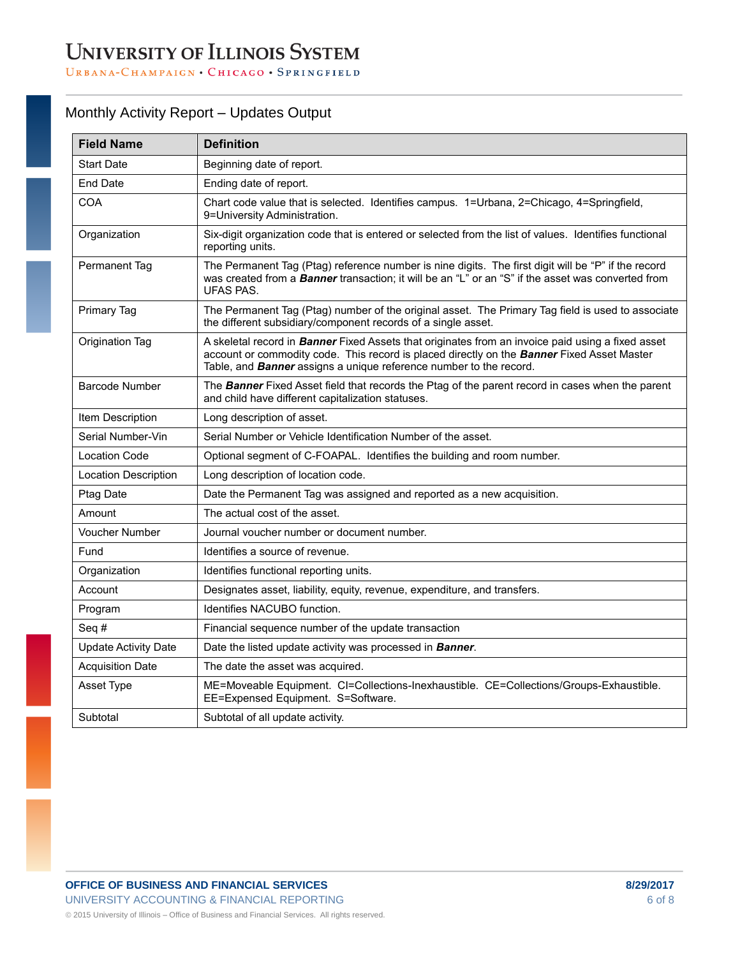### Monthly Activity Report – Updates Output

| <b>Field Name</b>           | <b>Definition</b>                                                                                                                                                                                                                                                                          |
|-----------------------------|--------------------------------------------------------------------------------------------------------------------------------------------------------------------------------------------------------------------------------------------------------------------------------------------|
| <b>Start Date</b>           | Beginning date of report.                                                                                                                                                                                                                                                                  |
| <b>End Date</b>             | Ending date of report.                                                                                                                                                                                                                                                                     |
| <b>COA</b>                  | Chart code value that is selected. Identifies campus. 1=Urbana, 2=Chicago, 4=Springfield,<br>9=University Administration.                                                                                                                                                                  |
| Organization                | Six-digit organization code that is entered or selected from the list of values. Identifies functional<br>reporting units.                                                                                                                                                                 |
| Permanent Tag               | The Permanent Tag (Ptag) reference number is nine digits. The first digit will be "P" if the record<br>was created from a <b>Banner</b> transaction; it will be an "L" or an "S" if the asset was converted from<br>UFAS PAS.                                                              |
| <b>Primary Tag</b>          | The Permanent Tag (Ptag) number of the original asset. The Primary Tag field is used to associate<br>the different subsidiary/component records of a single asset.                                                                                                                         |
| Origination Tag             | A skeletal record in <b>Banner</b> Fixed Assets that originates from an invoice paid using a fixed asset<br>account or commodity code. This record is placed directly on the <b>Banner</b> Fixed Asset Master<br>Table, and <b>Banner</b> assigns a unique reference number to the record. |
| <b>Barcode Number</b>       | The Banner Fixed Asset field that records the Ptag of the parent record in cases when the parent<br>and child have different capitalization statuses.                                                                                                                                      |
| Item Description            | Long description of asset.                                                                                                                                                                                                                                                                 |
| Serial Number-Vin           | Serial Number or Vehicle Identification Number of the asset.                                                                                                                                                                                                                               |
| <b>Location Code</b>        | Optional segment of C-FOAPAL. Identifies the building and room number.                                                                                                                                                                                                                     |
| <b>Location Description</b> | Long description of location code.                                                                                                                                                                                                                                                         |
| Ptag Date                   | Date the Permanent Tag was assigned and reported as a new acquisition.                                                                                                                                                                                                                     |
| Amount                      | The actual cost of the asset.                                                                                                                                                                                                                                                              |
| <b>Voucher Number</b>       | Journal voucher number or document number.                                                                                                                                                                                                                                                 |
| Fund                        | Identifies a source of revenue.                                                                                                                                                                                                                                                            |
| Organization                | Identifies functional reporting units.                                                                                                                                                                                                                                                     |
| Account                     | Designates asset, liability, equity, revenue, expenditure, and transfers.                                                                                                                                                                                                                  |
| Program                     | Identifies NACUBO function.                                                                                                                                                                                                                                                                |
| Seq#                        | Financial sequence number of the update transaction                                                                                                                                                                                                                                        |
| <b>Update Activity Date</b> | Date the listed update activity was processed in Banner.                                                                                                                                                                                                                                   |
| <b>Acquisition Date</b>     | The date the asset was acquired.                                                                                                                                                                                                                                                           |
| Asset Type                  | ME=Moveable Equipment. CI=Collections-Inexhaustible. CE=Collections/Groups-Exhaustible.<br>EE=Expensed Equipment. S=Software.                                                                                                                                                              |
| Subtotal                    | Subtotal of all update activity.                                                                                                                                                                                                                                                           |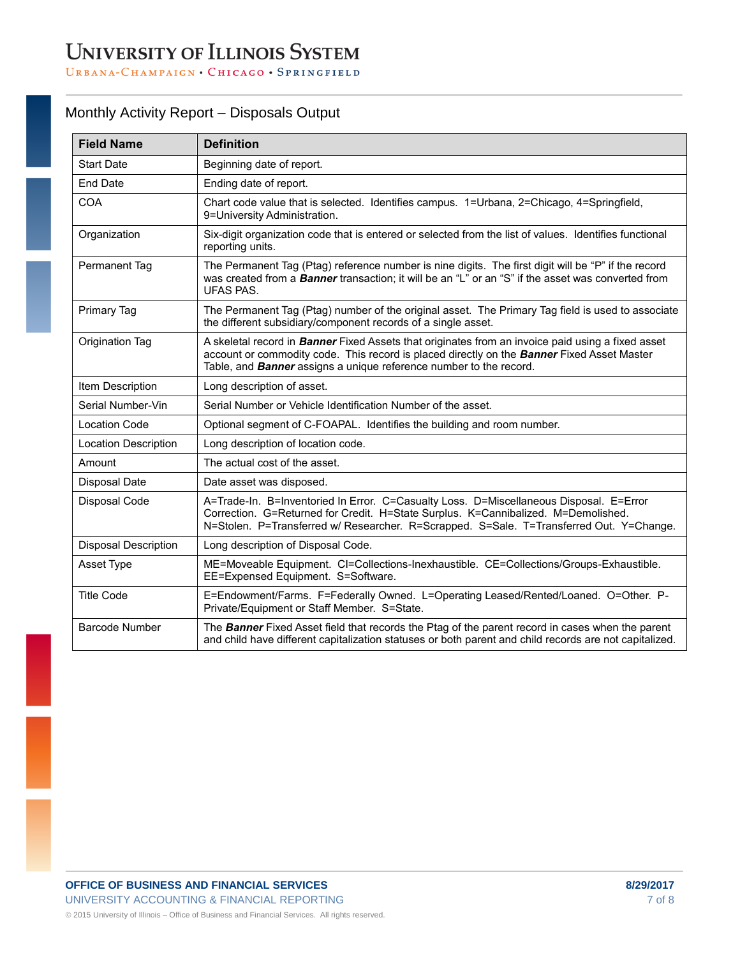### Monthly Activity Report – Disposals Output

| <b>Field Name</b>           | <b>Definition</b>                                                                                                                                                                                                                                                            |
|-----------------------------|------------------------------------------------------------------------------------------------------------------------------------------------------------------------------------------------------------------------------------------------------------------------------|
| <b>Start Date</b>           | Beginning date of report.                                                                                                                                                                                                                                                    |
| End Date                    | Ending date of report.                                                                                                                                                                                                                                                       |
| <b>COA</b>                  | Chart code value that is selected. Identifies campus. 1=Urbana, 2=Chicago, 4=Springfield,<br>9=University Administration.                                                                                                                                                    |
| Organization                | Six-digit organization code that is entered or selected from the list of values. Identifies functional<br>reporting units.                                                                                                                                                   |
| Permanent Tag               | The Permanent Tag (Ptag) reference number is nine digits. The first digit will be "P" if the record<br>was created from a <b>Banner</b> transaction; it will be an "L" or an "S" if the asset was converted from<br><b>UFAS PAS.</b>                                         |
| Primary Tag                 | The Permanent Tag (Ptag) number of the original asset. The Primary Tag field is used to associate<br>the different subsidiary/component records of a single asset.                                                                                                           |
| Origination Tag             | A skeletal record in Banner Fixed Assets that originates from an invoice paid using a fixed asset<br>account or commodity code. This record is placed directly on the <b>Banner</b> Fixed Asset Master<br>Table, and Banner assigns a unique reference number to the record. |
| Item Description            | Long description of asset.                                                                                                                                                                                                                                                   |
| Serial Number-Vin           | Serial Number or Vehicle Identification Number of the asset.                                                                                                                                                                                                                 |
| <b>Location Code</b>        | Optional segment of C-FOAPAL. Identifies the building and room number.                                                                                                                                                                                                       |
| <b>Location Description</b> | Long description of location code.                                                                                                                                                                                                                                           |
| Amount                      | The actual cost of the asset.                                                                                                                                                                                                                                                |
| Disposal Date               | Date asset was disposed.                                                                                                                                                                                                                                                     |
| Disposal Code               | A=Trade-In. B=Inventoried In Error. C=Casualty Loss. D=Miscellaneous Disposal. E=Error<br>Correction. G=Returned for Credit. H=State Surplus. K=Cannibalized. M=Demolished.<br>N=Stolen. P=Transferred w/ Researcher. R=Scrapped. S=Sale. T=Transferred Out. Y=Change.       |
| <b>Disposal Description</b> | Long description of Disposal Code.                                                                                                                                                                                                                                           |
| Asset Type                  | ME=Moveable Equipment. CI=Collections-Inexhaustible. CE=Collections/Groups-Exhaustible.<br>EE=Expensed Equipment. S=Software.                                                                                                                                                |
| <b>Title Code</b>           | E=Endowment/Farms. F=Federally Owned. L=Operating Leased/Rented/Loaned. O=Other. P-<br>Private/Equipment or Staff Member. S=State.                                                                                                                                           |
| <b>Barcode Number</b>       | The Banner Fixed Asset field that records the Ptag of the parent record in cases when the parent<br>and child have different capitalization statuses or both parent and child records are not capitalized.                                                                   |